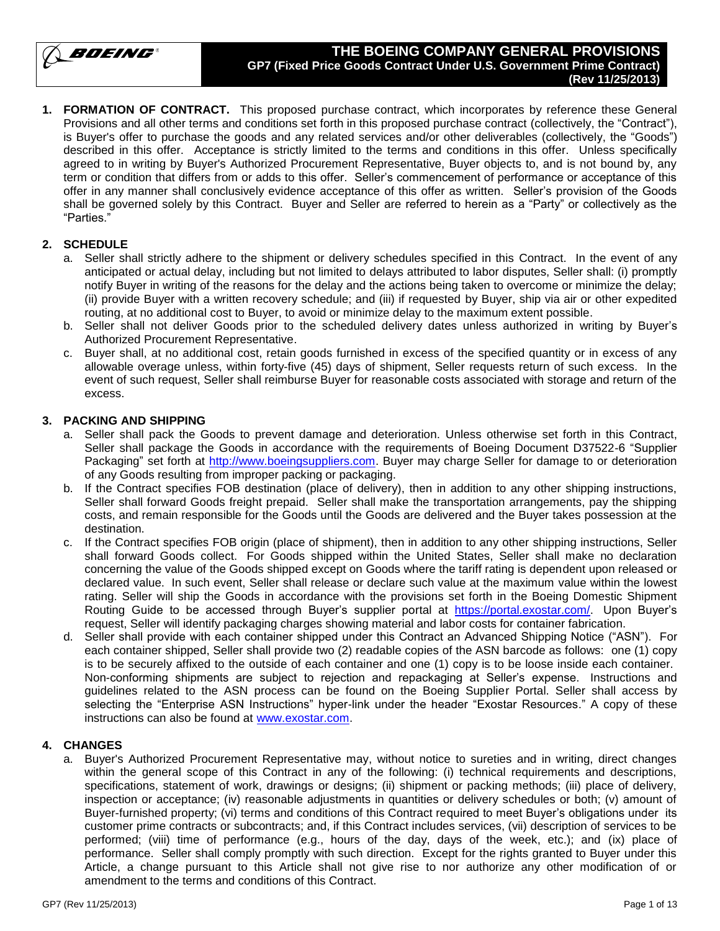BOEING

### **THE BOEING COMPANY GENERAL PROVISIONS GP7 (Fixed Price Goods Contract Under U.S. Government Prime Contract) (Rev 11/25/2013)**

**1. FORMATION OF CONTRACT.** This proposed purchase contract, which incorporates by reference these General Provisions and all other terms and conditions set forth in this proposed purchase contract (collectively, the "Contract"), is Buyer's offer to purchase the goods and any related services and/or other deliverables (collectively, the "Goods") described in this offer. Acceptance is strictly limited to the terms and conditions in this offer. Unless specifically agreed to in writing by Buyer's Authorized Procurement Representative, Buyer objects to, and is not bound by, any term or condition that differs from or adds to this offer. Seller's commencement of performance or acceptance of this offer in any manner shall conclusively evidence acceptance of this offer as written. Seller's provision of the Goods shall be governed solely by this Contract. Buyer and Seller are referred to herein as a "Party" or collectively as the "Parties."

# **2. SCHEDULE**

- a. Seller shall strictly adhere to the shipment or delivery schedules specified in this Contract. In the event of any anticipated or actual delay, including but not limited to delays attributed to labor disputes, Seller shall: (i) promptly notify Buyer in writing of the reasons for the delay and the actions being taken to overcome or minimize the delay; (ii) provide Buyer with a written recovery schedule; and (iii) if requested by Buyer, ship via air or other expedited routing, at no additional cost to Buyer, to avoid or minimize delay to the maximum extent possible.
- b. Seller shall not deliver Goods prior to the scheduled delivery dates unless authorized in writing by Buyer's Authorized Procurement Representative.
- c. Buyer shall, at no additional cost, retain goods furnished in excess of the specified quantity or in excess of any allowable overage unless, within forty-five (45) days of shipment, Seller requests return of such excess. In the event of such request, Seller shall reimburse Buyer for reasonable costs associated with storage and return of the excess.

### **3. PACKING AND SHIPPING**

- a. Seller shall pack the Goods to prevent damage and deterioration. Unless otherwise set forth in this Contract, Seller shall package the Goods in accordance with the requirements of Boeing Document D37522-6 "Supplier Packaging" set forth at [http://www.boeingsuppliers.com.](http://www.boeingsuppliers.com/) Buyer may charge Seller for damage to or deterioration of any Goods resulting from improper packing or packaging.
- b. If the Contract specifies FOB destination (place of delivery), then in addition to any other shipping instructions, Seller shall forward Goods freight prepaid. Seller shall make the transportation arrangements, pay the shipping costs, and remain responsible for the Goods until the Goods are delivered and the Buyer takes possession at the destination.
- c. If the Contract specifies FOB origin (place of shipment), then in addition to any other shipping instructions, Seller shall forward Goods collect. For Goods shipped within the United States, Seller shall make no declaration concerning the value of the Goods shipped except on Goods where the tariff rating is dependent upon released or declared value. In such event, Seller shall release or declare such value at the maximum value within the lowest rating. Seller will ship the Goods in accordance with the provisions set forth in the Boeing Domestic Shipment Routing Guide to be accessed through Buyer's supplier portal at [https://portal.exostar.com/.](https://portal.exostar.com/) Upon Buyer's request, Seller will identify packaging charges showing material and labor costs for container fabrication.
- d. Seller shall provide with each container shipped under this Contract an Advanced Shipping Notice ("ASN"). For each container shipped, Seller shall provide two (2) readable copies of the ASN barcode as follows: one (1) copy is to be securely affixed to the outside of each container and one (1) copy is to be loose inside each container. Non-conforming shipments are subject to rejection and repackaging at Seller's expense. Instructions and guidelines related to the ASN process can be found on the Boeing Supplier Portal. Seller shall access by selecting the "Enterprise ASN Instructions" hyper-link under the header "Exostar Resources." A copy of these instructions can also be found at [www.exostar.com.](http://www.exostar.com/)

### **4. CHANGES**

a. Buyer's Authorized Procurement Representative may, without notice to sureties and in writing, direct changes within the general scope of this Contract in any of the following: (i) technical requirements and descriptions, specifications, statement of work, drawings or designs; (ii) shipment or packing methods; (iii) place of delivery, inspection or acceptance; (iv) reasonable adjustments in quantities or delivery schedules or both; (v) amount of Buyer-furnished property; (vi) terms and conditions of this Contract required to meet Buyer's obligations under its customer prime contracts or subcontracts; and, if this Contract includes services, (vii) description of services to be performed; (viii) time of performance (e.g., hours of the day, days of the week, etc.); and (ix) place of performance. Seller shall comply promptly with such direction. Except for the rights granted to Buyer under this Article, a change pursuant to this Article shall not give rise to nor authorize any other modification of or amendment to the terms and conditions of this Contract.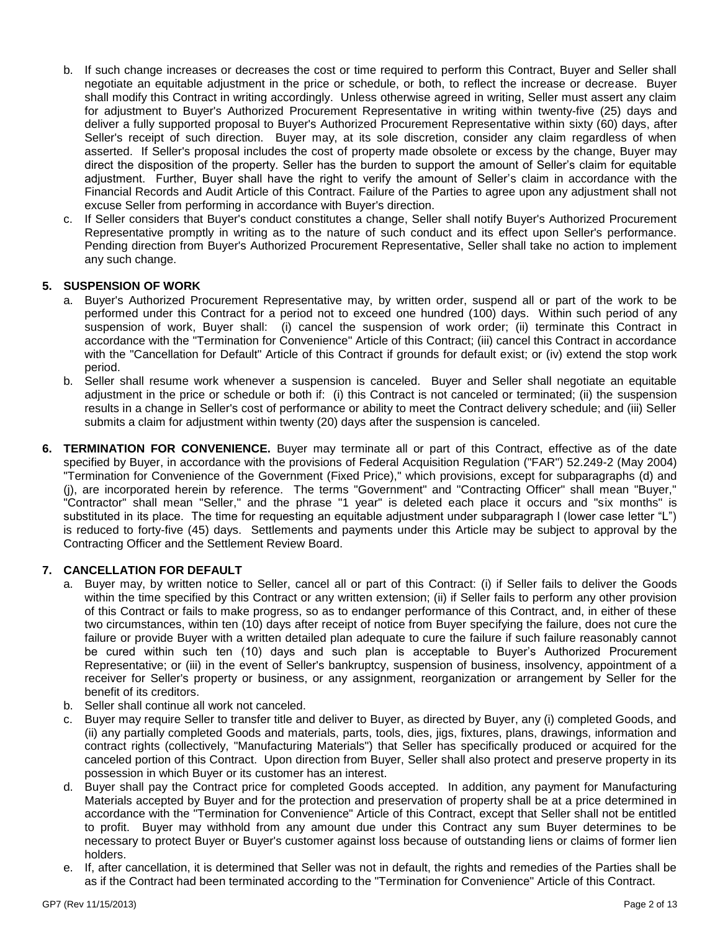- b. If such change increases or decreases the cost or time required to perform this Contract, Buyer and Seller shall negotiate an equitable adjustment in the price or schedule, or both, to reflect the increase or decrease. Buyer shall modify this Contract in writing accordingly. Unless otherwise agreed in writing, Seller must assert any claim for adjustment to Buyer's Authorized Procurement Representative in writing within twenty-five (25) days and deliver a fully supported proposal to Buyer's Authorized Procurement Representative within sixty (60) days, after Seller's receipt of such direction. Buyer may, at its sole discretion, consider any claim regardless of when asserted. If Seller's proposal includes the cost of property made obsolete or excess by the change, Buyer may direct the disposition of the property. Seller has the burden to support the amount of Seller's claim for equitable adjustment. Further, Buyer shall have the right to verify the amount of Seller's claim in accordance with the Financial Records and Audit Article of this Contract. Failure of the Parties to agree upon any adjustment shall not excuse Seller from performing in accordance with Buyer's direction.
- c. If Seller considers that Buyer's conduct constitutes a change, Seller shall notify Buyer's Authorized Procurement Representative promptly in writing as to the nature of such conduct and its effect upon Seller's performance. Pending direction from Buyer's Authorized Procurement Representative, Seller shall take no action to implement any such change.

### **5. SUSPENSION OF WORK**

- a. Buyer's Authorized Procurement Representative may, by written order, suspend all or part of the work to be performed under this Contract for a period not to exceed one hundred (100) days. Within such period of any suspension of work, Buyer shall: (i) cancel the suspension of work order; (ii) terminate this Contract in accordance with the "Termination for Convenience" Article of this Contract; (iii) cancel this Contract in accordance with the "Cancellation for Default" Article of this Contract if grounds for default exist; or (iv) extend the stop work period.
- b. Seller shall resume work whenever a suspension is canceled. Buyer and Seller shall negotiate an equitable adjustment in the price or schedule or both if: (i) this Contract is not canceled or terminated; (ii) the suspension results in a change in Seller's cost of performance or ability to meet the Contract delivery schedule; and (iii) Seller submits a claim for adjustment within twenty (20) days after the suspension is canceled.
- **6. TERMINATION FOR CONVENIENCE.** Buyer may terminate all or part of this Contract, effective as of the date specified by Buyer, in accordance with the provisions of Federal Acquisition Regulation ("FAR") 52.249-2 (May 2004) "Termination for Convenience of the Government (Fixed Price)," which provisions, except for subparagraphs (d) and (j), are incorporated herein by reference. The terms "Government" and "Contracting Officer" shall mean "Buyer," "Contractor" shall mean "Seller," and the phrase "1 year" is deleted each place it occurs and "six months" is substituted in its place. The time for requesting an equitable adjustment under subparagraph I (lower case letter "L") is reduced to forty-five (45) days. Settlements and payments under this Article may be subject to approval by the Contracting Officer and the Settlement Review Board.

### **7. CANCELLATION FOR DEFAULT**

- a. Buyer may, by written notice to Seller, cancel all or part of this Contract: (i) if Seller fails to deliver the Goods within the time specified by this Contract or any written extension; (ii) if Seller fails to perform any other provision of this Contract or fails to make progress, so as to endanger performance of this Contract, and, in either of these two circumstances, within ten (10) days after receipt of notice from Buyer specifying the failure, does not cure the failure or provide Buyer with a written detailed plan adequate to cure the failure if such failure reasonably cannot be cured within such ten (10) days and such plan is acceptable to Buyer's Authorized Procurement Representative; or (iii) in the event of Seller's bankruptcy, suspension of business, insolvency, appointment of a receiver for Seller's property or business, or any assignment, reorganization or arrangement by Seller for the benefit of its creditors.
- b. Seller shall continue all work not canceled.
- c. Buyer may require Seller to transfer title and deliver to Buyer, as directed by Buyer, any (i) completed Goods, and (ii) any partially completed Goods and materials, parts, tools, dies, jigs, fixtures, plans, drawings, information and contract rights (collectively, "Manufacturing Materials") that Seller has specifically produced or acquired for the canceled portion of this Contract. Upon direction from Buyer, Seller shall also protect and preserve property in its possession in which Buyer or its customer has an interest.
- d. Buyer shall pay the Contract price for completed Goods accepted. In addition, any payment for Manufacturing Materials accepted by Buyer and for the protection and preservation of property shall be at a price determined in accordance with the "Termination for Convenience" Article of this Contract, except that Seller shall not be entitled to profit. Buyer may withhold from any amount due under this Contract any sum Buyer determines to be necessary to protect Buyer or Buyer's customer against loss because of outstanding liens or claims of former lien holders.
- e. If, after cancellation, it is determined that Seller was not in default, the rights and remedies of the Parties shall be as if the Contract had been terminated according to the "Termination for Convenience" Article of this Contract.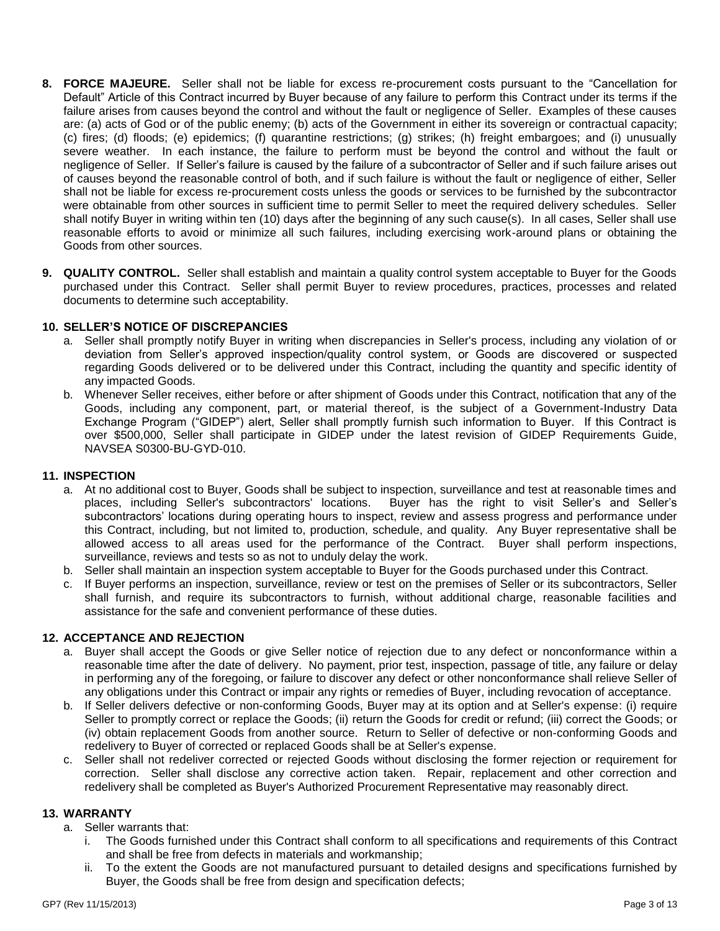- **8. FORCE MAJEURE.** Seller shall not be liable for excess re-procurement costs pursuant to the "Cancellation for Default" Article of this Contract incurred by Buyer because of any failure to perform this Contract under its terms if the failure arises from causes beyond the control and without the fault or negligence of Seller. Examples of these causes are: (a) acts of God or of the public enemy; (b) acts of the Government in either its sovereign or contractual capacity; (c) fires; (d) floods; (e) epidemics; (f) quarantine restrictions; (g) strikes; (h) freight embargoes; and (i) unusually severe weather. In each instance, the failure to perform must be beyond the control and without the fault or negligence of Seller. If Seller's failure is caused by the failure of a subcontractor of Seller and if such failure arises out of causes beyond the reasonable control of both, and if such failure is without the fault or negligence of either, Seller shall not be liable for excess re-procurement costs unless the goods or services to be furnished by the subcontractor were obtainable from other sources in sufficient time to permit Seller to meet the required delivery schedules. Seller shall notify Buyer in writing within ten (10) days after the beginning of any such cause(s). In all cases, Seller shall use reasonable efforts to avoid or minimize all such failures, including exercising work-around plans or obtaining the Goods from other sources.
- **9. QUALITY CONTROL.** Seller shall establish and maintain a quality control system acceptable to Buyer for the Goods purchased under this Contract. Seller shall permit Buyer to review procedures, practices, processes and related documents to determine such acceptability.

### **10. SELLER'S NOTICE OF DISCREPANCIES**

- a. Seller shall promptly notify Buyer in writing when discrepancies in Seller's process, including any violation of or deviation from Seller's approved inspection/quality control system, or Goods are discovered or suspected regarding Goods delivered or to be delivered under this Contract, including the quantity and specific identity of any impacted Goods.
- b. Whenever Seller receives, either before or after shipment of Goods under this Contract, notification that any of the Goods, including any component, part, or material thereof, is the subject of a Government-Industry Data Exchange Program ("GIDEP") alert, Seller shall promptly furnish such information to Buyer. If this Contract is over \$500,000, Seller shall participate in GIDEP under the latest revision of GIDEP Requirements Guide, NAVSEA S0300-BU-GYD-010.

### **11. INSPECTION**

- a. At no additional cost to Buyer, Goods shall be subject to inspection, surveillance and test at reasonable times and places, including Seller's subcontractors' locations. Buyer has the right to visit Seller's and Seller's subcontractors' locations during operating hours to inspect, review and assess progress and performance under this Contract, including, but not limited to, production, schedule, and quality. Any Buyer representative shall be allowed access to all areas used for the performance of the Contract. Buyer shall perform inspections, surveillance, reviews and tests so as not to unduly delay the work.
- b. Seller shall maintain an inspection system acceptable to Buyer for the Goods purchased under this Contract.
- c. If Buyer performs an inspection, surveillance, review or test on the premises of Seller or its subcontractors, Seller shall furnish, and require its subcontractors to furnish, without additional charge, reasonable facilities and assistance for the safe and convenient performance of these duties.

# **12. ACCEPTANCE AND REJECTION**

- a. Buyer shall accept the Goods or give Seller notice of rejection due to any defect or nonconformance within a reasonable time after the date of delivery. No payment, prior test, inspection, passage of title, any failure or delay in performing any of the foregoing, or failure to discover any defect or other nonconformance shall relieve Seller of any obligations under this Contract or impair any rights or remedies of Buyer, including revocation of acceptance.
- b. If Seller delivers defective or non-conforming Goods, Buyer may at its option and at Seller's expense: (i) require Seller to promptly correct or replace the Goods; (ii) return the Goods for credit or refund; (iii) correct the Goods; or (iv) obtain replacement Goods from another source. Return to Seller of defective or non-conforming Goods and redelivery to Buyer of corrected or replaced Goods shall be at Seller's expense.
- c. Seller shall not redeliver corrected or rejected Goods without disclosing the former rejection or requirement for correction. Seller shall disclose any corrective action taken. Repair, replacement and other correction and redelivery shall be completed as Buyer's Authorized Procurement Representative may reasonably direct.

### **13. WARRANTY**

- a. Seller warrants that:
	- i. The Goods furnished under this Contract shall conform to all specifications and requirements of this Contract and shall be free from defects in materials and workmanship;
	- ii. To the extent the Goods are not manufactured pursuant to detailed designs and specifications furnished by Buyer, the Goods shall be free from design and specification defects;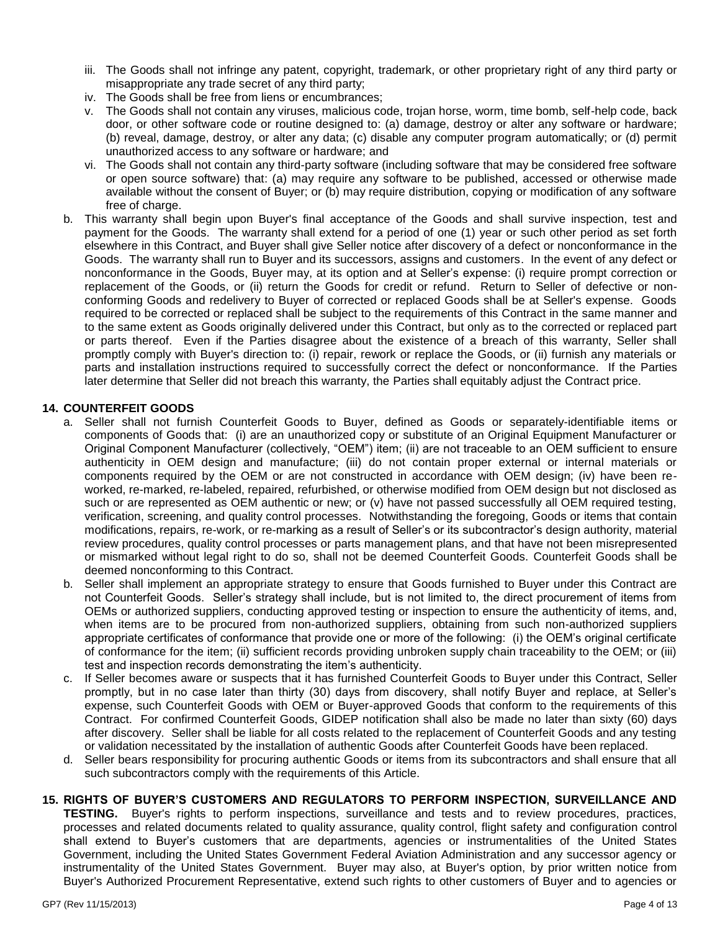- iii. The Goods shall not infringe any patent, copyright, trademark, or other proprietary right of any third party or misappropriate any trade secret of any third party;
- iv. The Goods shall be free from liens or encumbrances;
- v. The Goods shall not contain any viruses, malicious code, trojan horse, worm, time bomb, self-help code, back door, or other software code or routine designed to: (a) damage, destroy or alter any software or hardware; (b) reveal, damage, destroy, or alter any data; (c) disable any computer program automatically; or (d) permit unauthorized access to any software or hardware; and
- vi. The Goods shall not contain any third-party software (including software that may be considered free software or open source software) that: (a) may require any software to be published, accessed or otherwise made available without the consent of Buyer; or (b) may require distribution, copying or modification of any software free of charge.
- b. This warranty shall begin upon Buyer's final acceptance of the Goods and shall survive inspection, test and payment for the Goods. The warranty shall extend for a period of one (1) year or such other period as set forth elsewhere in this Contract, and Buyer shall give Seller notice after discovery of a defect or nonconformance in the Goods. The warranty shall run to Buyer and its successors, assigns and customers. In the event of any defect or nonconformance in the Goods, Buyer may, at its option and at Seller's expense: (i) require prompt correction or replacement of the Goods, or (ii) return the Goods for credit or refund. Return to Seller of defective or nonconforming Goods and redelivery to Buyer of corrected or replaced Goods shall be at Seller's expense. Goods required to be corrected or replaced shall be subject to the requirements of this Contract in the same manner and to the same extent as Goods originally delivered under this Contract, but only as to the corrected or replaced part or parts thereof. Even if the Parties disagree about the existence of a breach of this warranty, Seller shall promptly comply with Buyer's direction to: (i) repair, rework or replace the Goods, or (ii) furnish any materials or parts and installation instructions required to successfully correct the defect or nonconformance. If the Parties later determine that Seller did not breach this warranty, the Parties shall equitably adjust the Contract price.

### **14. COUNTERFEIT GOODS**

- a. Seller shall not furnish Counterfeit Goods to Buyer, defined as Goods or separately-identifiable items or components of Goods that: (i) are an unauthorized copy or substitute of an Original Equipment Manufacturer or Original Component Manufacturer (collectively, "OEM") item; (ii) are not traceable to an OEM sufficient to ensure authenticity in OEM design and manufacture; (iii) do not contain proper external or internal materials or components required by the OEM or are not constructed in accordance with OEM design; (iv) have been reworked, re-marked, re-labeled, repaired, refurbished, or otherwise modified from OEM design but not disclosed as such or are represented as OEM authentic or new; or (v) have not passed successfully all OEM required testing, verification, screening, and quality control processes. Notwithstanding the foregoing, Goods or items that contain modifications, repairs, re-work, or re-marking as a result of Seller's or its subcontractor's design authority, material review procedures, quality control processes or parts management plans, and that have not been misrepresented or mismarked without legal right to do so, shall not be deemed Counterfeit Goods. Counterfeit Goods shall be deemed nonconforming to this Contract.
- b. Seller shall implement an appropriate strategy to ensure that Goods furnished to Buyer under this Contract are not Counterfeit Goods. Seller's strategy shall include, but is not limited to, the direct procurement of items from OEMs or authorized suppliers, conducting approved testing or inspection to ensure the authenticity of items, and, when items are to be procured from non-authorized suppliers, obtaining from such non-authorized suppliers appropriate certificates of conformance that provide one or more of the following: (i) the OEM's original certificate of conformance for the item; (ii) sufficient records providing unbroken supply chain traceability to the OEM; or (iii) test and inspection records demonstrating the item's authenticity.
- c. If Seller becomes aware or suspects that it has furnished Counterfeit Goods to Buyer under this Contract, Seller promptly, but in no case later than thirty (30) days from discovery, shall notify Buyer and replace, at Seller's expense, such Counterfeit Goods with OEM or Buyer-approved Goods that conform to the requirements of this Contract. For confirmed Counterfeit Goods, GIDEP notification shall also be made no later than sixty (60) days after discovery. Seller shall be liable for all costs related to the replacement of Counterfeit Goods and any testing or validation necessitated by the installation of authentic Goods after Counterfeit Goods have been replaced.
- d. Seller bears responsibility for procuring authentic Goods or items from its subcontractors and shall ensure that all such subcontractors comply with the requirements of this Article.

### **15. RIGHTS OF BUYER'S CUSTOMERS AND REGULATORS TO PERFORM INSPECTION, SURVEILLANCE AND**

**TESTING.** Buyer's rights to perform inspections, surveillance and tests and to review procedures, practices, processes and related documents related to quality assurance, quality control, flight safety and configuration control shall extend to Buyer's customers that are departments, agencies or instrumentalities of the United States Government, including the United States Government Federal Aviation Administration and any successor agency or instrumentality of the United States Government. Buyer may also, at Buyer's option, by prior written notice from Buyer's Authorized Procurement Representative, extend such rights to other customers of Buyer and to agencies or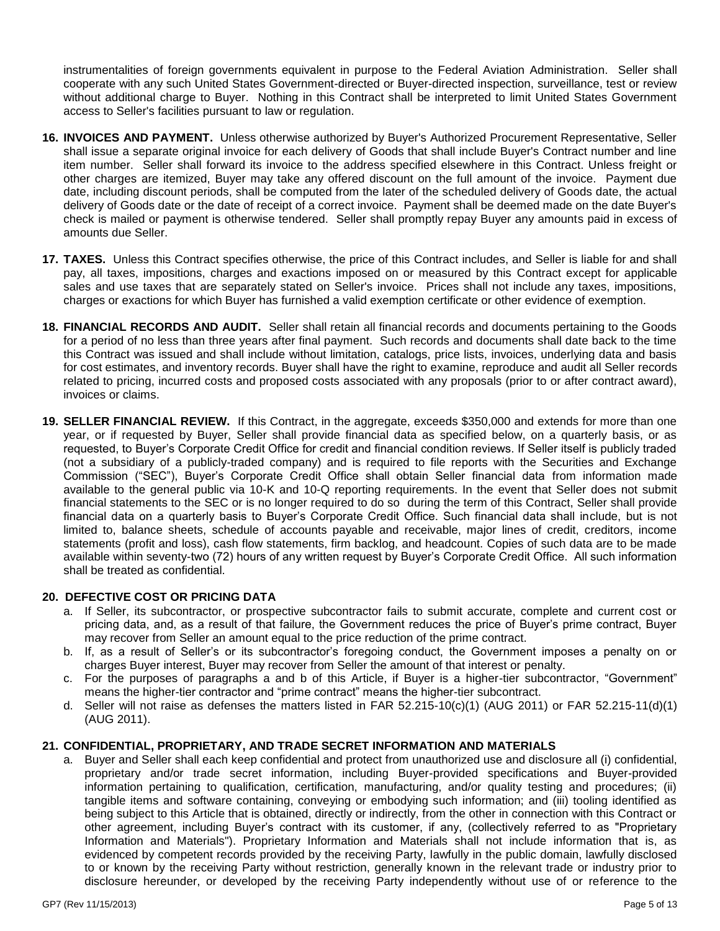instrumentalities of foreign governments equivalent in purpose to the Federal Aviation Administration. Seller shall cooperate with any such United States Government-directed or Buyer-directed inspection, surveillance, test or review without additional charge to Buyer. Nothing in this Contract shall be interpreted to limit United States Government access to Seller's facilities pursuant to law or regulation.

- **16. INVOICES AND PAYMENT.** Unless otherwise authorized by Buyer's Authorized Procurement Representative, Seller shall issue a separate original invoice for each delivery of Goods that shall include Buyer's Contract number and line item number. Seller shall forward its invoice to the address specified elsewhere in this Contract. Unless freight or other charges are itemized, Buyer may take any offered discount on the full amount of the invoice. Payment due date, including discount periods, shall be computed from the later of the scheduled delivery of Goods date, the actual delivery of Goods date or the date of receipt of a correct invoice. Payment shall be deemed made on the date Buyer's check is mailed or payment is otherwise tendered. Seller shall promptly repay Buyer any amounts paid in excess of amounts due Seller.
- **17. TAXES.** Unless this Contract specifies otherwise, the price of this Contract includes, and Seller is liable for and shall pay, all taxes, impositions, charges and exactions imposed on or measured by this Contract except for applicable sales and use taxes that are separately stated on Seller's invoice. Prices shall not include any taxes, impositions, charges or exactions for which Buyer has furnished a valid exemption certificate or other evidence of exemption.
- **18. FINANCIAL RECORDS AND AUDIT.** Seller shall retain all financial records and documents pertaining to the Goods for a period of no less than three years after final payment. Such records and documents shall date back to the time this Contract was issued and shall include without limitation, catalogs, price lists, invoices, underlying data and basis for cost estimates, and inventory records. Buyer shall have the right to examine, reproduce and audit all Seller records related to pricing, incurred costs and proposed costs associated with any proposals (prior to or after contract award), invoices or claims.
- **19. SELLER FINANCIAL REVIEW.** If this Contract, in the aggregate, exceeds \$350,000 and extends for more than one year, or if requested by Buyer, Seller shall provide financial data as specified below, on a quarterly basis, or as requested, to Buyer's Corporate Credit Office for credit and financial condition reviews. If Seller itself is publicly traded (not a subsidiary of a publicly-traded company) and is required to file reports with the Securities and Exchange Commission ("SEC"), Buyer's Corporate Credit Office shall obtain Seller financial data from information made available to the general public via 10-K and 10-Q reporting requirements. In the event that Seller does not submit financial statements to the SEC or is no longer required to do so during the term of this Contract, Seller shall provide financial data on a quarterly basis to Buyer's Corporate Credit Office. Such financial data shall include, but is not limited to, balance sheets, schedule of accounts payable and receivable, major lines of credit, creditors, income statements (profit and loss), cash flow statements, firm backlog, and headcount. Copies of such data are to be made available within seventy-two (72) hours of any written request by Buyer's Corporate Credit Office. All such information shall be treated as confidential.

# **20. DEFECTIVE COST OR PRICING DATA**

- a. If Seller, its subcontractor, or prospective subcontractor fails to submit accurate, complete and current cost or pricing data, and, as a result of that failure, the Government reduces the price of Buyer's prime contract, Buyer may recover from Seller an amount equal to the price reduction of the prime contract.
- b. If, as a result of Seller's or its subcontractor's foregoing conduct, the Government imposes a penalty on or charges Buyer interest, Buyer may recover from Seller the amount of that interest or penalty.
- c. For the purposes of paragraphs a and b of this Article, if Buyer is a higher-tier subcontractor, "Government" means the higher-tier contractor and "prime contract" means the higher-tier subcontract.
- d. Seller will not raise as defenses the matters listed in FAR 52.215-10(c)(1) (AUG 2011) or FAR 52.215-11(d)(1) (AUG 2011).

# **21. CONFIDENTIAL, PROPRIETARY, AND TRADE SECRET INFORMATION AND MATERIALS**

a. Buyer and Seller shall each keep confidential and protect from unauthorized use and disclosure all (i) confidential, proprietary and/or trade secret information, including Buyer-provided specifications and Buyer-provided information pertaining to qualification, certification, manufacturing, and/or quality testing and procedures; (ii) tangible items and software containing, conveying or embodying such information; and (iii) tooling identified as being subject to this Article that is obtained, directly or indirectly, from the other in connection with this Contract or other agreement, including Buyer's contract with its customer, if any, (collectively referred to as "Proprietary Information and Materials"). Proprietary Information and Materials shall not include information that is, as evidenced by competent records provided by the receiving Party, lawfully in the public domain, lawfully disclosed to or known by the receiving Party without restriction, generally known in the relevant trade or industry prior to disclosure hereunder, or developed by the receiving Party independently without use of or reference to the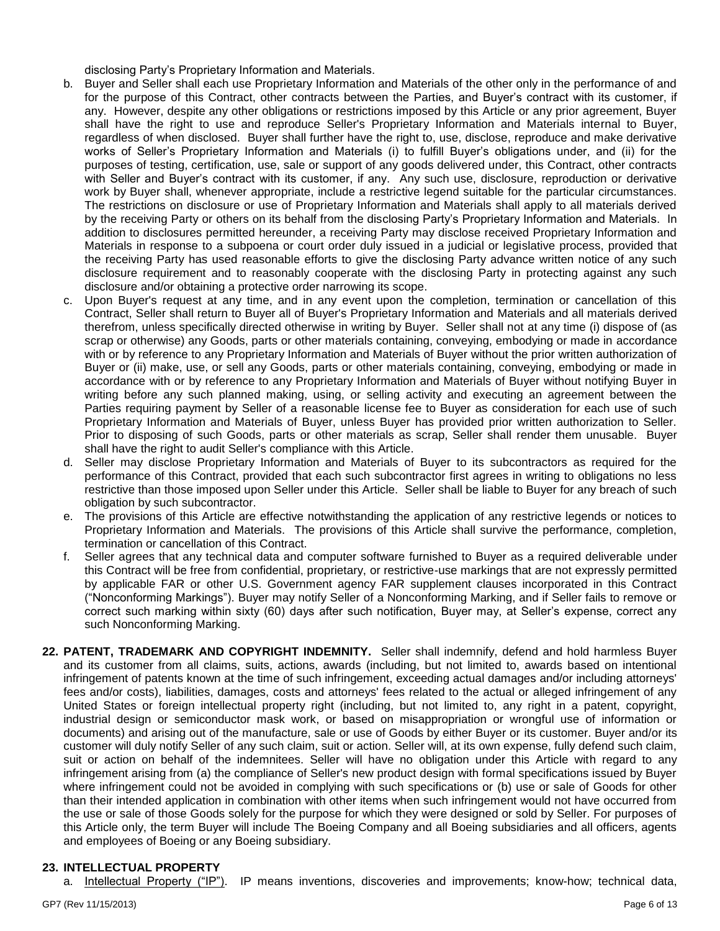disclosing Party's Proprietary Information and Materials.

- b. Buyer and Seller shall each use Proprietary Information and Materials of the other only in the performance of and for the purpose of this Contract, other contracts between the Parties, and Buyer's contract with its customer, if any. However, despite any other obligations or restrictions imposed by this Article or any prior agreement, Buyer shall have the right to use and reproduce Seller's Proprietary Information and Materials internal to Buyer, regardless of when disclosed. Buyer shall further have the right to, use, disclose, reproduce and make derivative works of Seller's Proprietary Information and Materials (i) to fulfill Buyer's obligations under, and (ii) for the purposes of testing, certification, use, sale or support of any goods delivered under, this Contract, other contracts with Seller and Buyer's contract with its customer, if any. Any such use, disclosure, reproduction or derivative work by Buyer shall, whenever appropriate, include a restrictive legend suitable for the particular circumstances. The restrictions on disclosure or use of Proprietary Information and Materials shall apply to all materials derived by the receiving Party or others on its behalf from the disclosing Party's Proprietary Information and Materials. In addition to disclosures permitted hereunder, a receiving Party may disclose received Proprietary Information and Materials in response to a subpoena or court order duly issued in a judicial or legislative process, provided that the receiving Party has used reasonable efforts to give the disclosing Party advance written notice of any such disclosure requirement and to reasonably cooperate with the disclosing Party in protecting against any such disclosure and/or obtaining a protective order narrowing its scope.
- c. Upon Buyer's request at any time, and in any event upon the completion, termination or cancellation of this Contract, Seller shall return to Buyer all of Buyer's Proprietary Information and Materials and all materials derived therefrom, unless specifically directed otherwise in writing by Buyer. Seller shall not at any time (i) dispose of (as scrap or otherwise) any Goods, parts or other materials containing, conveying, embodying or made in accordance with or by reference to any Proprietary Information and Materials of Buyer without the prior written authorization of Buyer or (ii) make, use, or sell any Goods, parts or other materials containing, conveying, embodying or made in accordance with or by reference to any Proprietary Information and Materials of Buyer without notifying Buyer in writing before any such planned making, using, or selling activity and executing an agreement between the Parties requiring payment by Seller of a reasonable license fee to Buyer as consideration for each use of such Proprietary Information and Materials of Buyer, unless Buyer has provided prior written authorization to Seller. Prior to disposing of such Goods, parts or other materials as scrap, Seller shall render them unusable. Buyer shall have the right to audit Seller's compliance with this Article.
- d. Seller may disclose Proprietary Information and Materials of Buyer to its subcontractors as required for the performance of this Contract, provided that each such subcontractor first agrees in writing to obligations no less restrictive than those imposed upon Seller under this Article. Seller shall be liable to Buyer for any breach of such obligation by such subcontractor.
- e. The provisions of this Article are effective notwithstanding the application of any restrictive legends or notices to Proprietary Information and Materials. The provisions of this Article shall survive the performance, completion, termination or cancellation of this Contract.
- f. Seller agrees that any technical data and computer software furnished to Buyer as a required deliverable under this Contract will be free from confidential, proprietary, or restrictive-use markings that are not expressly permitted by applicable FAR or other U.S. Government agency FAR supplement clauses incorporated in this Contract ("Nonconforming Markings"). Buyer may notify Seller of a Nonconforming Marking, and if Seller fails to remove or correct such marking within sixty (60) days after such notification, Buyer may, at Seller's expense, correct any such Nonconforming Marking.
- **22. PATENT, TRADEMARK AND COPYRIGHT INDEMNITY.** Seller shall indemnify, defend and hold harmless Buyer and its customer from all claims, suits, actions, awards (including, but not limited to, awards based on intentional infringement of patents known at the time of such infringement, exceeding actual damages and/or including attorneys' fees and/or costs), liabilities, damages, costs and attorneys' fees related to the actual or alleged infringement of any United States or foreign intellectual property right (including, but not limited to, any right in a patent, copyright, industrial design or semiconductor mask work, or based on misappropriation or wrongful use of information or documents) and arising out of the manufacture, sale or use of Goods by either Buyer or its customer. Buyer and/or its customer will duly notify Seller of any such claim, suit or action. Seller will, at its own expense, fully defend such claim, suit or action on behalf of the indemnitees. Seller will have no obligation under this Article with regard to any infringement arising from (a) the compliance of Seller's new product design with formal specifications issued by Buyer where infringement could not be avoided in complying with such specifications or (b) use or sale of Goods for other than their intended application in combination with other items when such infringement would not have occurred from the use or sale of those Goods solely for the purpose for which they were designed or sold by Seller. For purposes of this Article only, the term Buyer will include The Boeing Company and all Boeing subsidiaries and all officers, agents and employees of Boeing or any Boeing subsidiary.

# **23. INTELLECTUAL PROPERTY**

a. Intellectual Property ("IP"). IP means inventions, discoveries and improvements; know-how; technical data,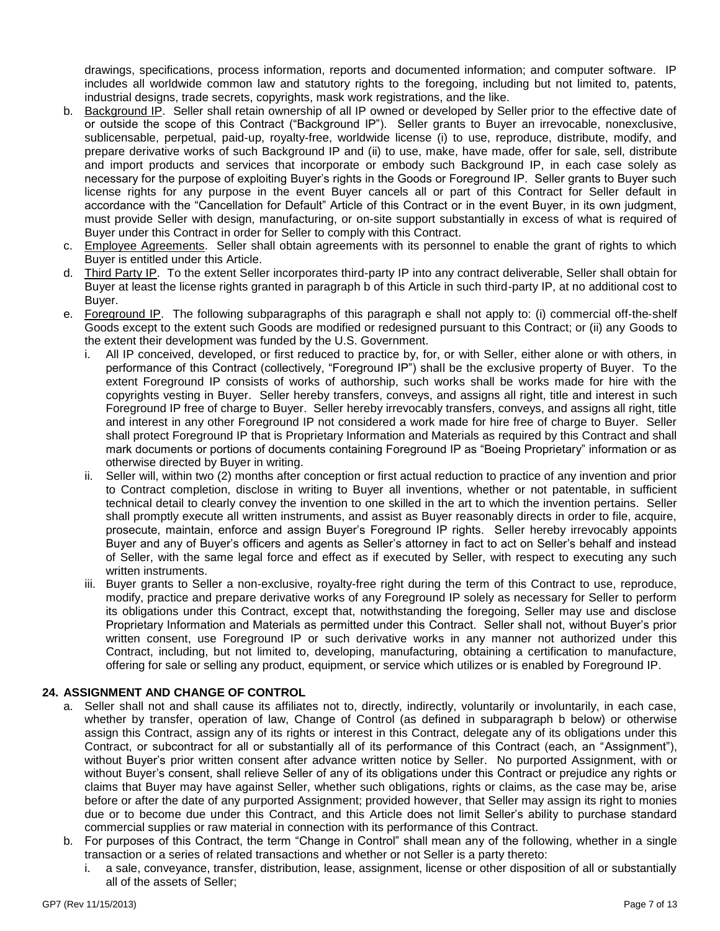drawings, specifications, process information, reports and documented information; and computer software. IP includes all worldwide common law and statutory rights to the foregoing, including but not limited to, patents, industrial designs, trade secrets, copyrights, mask work registrations, and the like.

- b. Background IP. Seller shall retain ownership of all IP owned or developed by Seller prior to the effective date of or outside the scope of this Contract ("Background IP"). Seller grants to Buyer an irrevocable, nonexclusive, sublicensable, perpetual, paid-up, royalty-free, worldwide license (i) to use, reproduce, distribute, modify, and prepare derivative works of such Background IP and (ii) to use, make, have made, offer for sale, sell, distribute and import products and services that incorporate or embody such Background IP, in each case solely as necessary for the purpose of exploiting Buyer's rights in the Goods or Foreground IP. Seller grants to Buyer such license rights for any purpose in the event Buyer cancels all or part of this Contract for Seller default in accordance with the "Cancellation for Default" Article of this Contract or in the event Buyer, in its own judgment, must provide Seller with design, manufacturing, or on-site support substantially in excess of what is required of Buyer under this Contract in order for Seller to comply with this Contract.
- c. Employee Agreements. Seller shall obtain agreements with its personnel to enable the grant of rights to which Buyer is entitled under this Article.
- d. Third Party IP. To the extent Seller incorporates third-party IP into any contract deliverable, Seller shall obtain for Buyer at least the license rights granted in paragraph b of this Article in such third-party IP, at no additional cost to Buyer.
- e. Foreground IP. The following subparagraphs of this paragraph e shall not apply to: (i) commercial off‐the‐shelf Goods except to the extent such Goods are modified or redesigned pursuant to this Contract; or (ii) any Goods to the extent their development was funded by the U.S. Government.
	- i. All IP conceived, developed, or first reduced to practice by, for, or with Seller, either alone or with others, in performance of this Contract (collectively, "Foreground IP") shall be the exclusive property of Buyer. To the extent Foreground IP consists of works of authorship, such works shall be works made for hire with the copyrights vesting in Buyer. Seller hereby transfers, conveys, and assigns all right, title and interest in such Foreground IP free of charge to Buyer. Seller hereby irrevocably transfers, conveys, and assigns all right, title and interest in any other Foreground IP not considered a work made for hire free of charge to Buyer. Seller shall protect Foreground IP that is Proprietary Information and Materials as required by this Contract and shall mark documents or portions of documents containing Foreground IP as "Boeing Proprietary" information or as otherwise directed by Buyer in writing.
	- ii. Seller will, within two (2) months after conception or first actual reduction to practice of any invention and prior to Contract completion, disclose in writing to Buyer all inventions, whether or not patentable, in sufficient technical detail to clearly convey the invention to one skilled in the art to which the invention pertains. Seller shall promptly execute all written instruments, and assist as Buyer reasonably directs in order to file, acquire, prosecute, maintain, enforce and assign Buyer's Foreground IP rights. Seller hereby irrevocably appoints Buyer and any of Buyer's officers and agents as Seller's attorney in fact to act on Seller's behalf and instead of Seller, with the same legal force and effect as if executed by Seller, with respect to executing any such written instruments.
	- iii. Buyer grants to Seller a non-exclusive, royalty-free right during the term of this Contract to use, reproduce, modify, practice and prepare derivative works of any Foreground IP solely as necessary for Seller to perform its obligations under this Contract, except that, notwithstanding the foregoing, Seller may use and disclose Proprietary Information and Materials as permitted under this Contract. Seller shall not, without Buyer's prior written consent, use Foreground IP or such derivative works in any manner not authorized under this Contract, including, but not limited to, developing, manufacturing, obtaining a certification to manufacture, offering for sale or selling any product, equipment, or service which utilizes or is enabled by Foreground IP.

# **24. ASSIGNMENT AND CHANGE OF CONTROL**

- a. Seller shall not and shall cause its affiliates not to, directly, indirectly, voluntarily or involuntarily, in each case, whether by transfer, operation of law, Change of Control (as defined in subparagraph b below) or otherwise assign this Contract, assign any of its rights or interest in this Contract, delegate any of its obligations under this Contract, or subcontract for all or substantially all of its performance of this Contract (each, an "Assignment"), without Buyer's prior written consent after advance written notice by Seller. No purported Assignment, with or without Buyer's consent, shall relieve Seller of any of its obligations under this Contract or prejudice any rights or claims that Buyer may have against Seller, whether such obligations, rights or claims, as the case may be, arise before or after the date of any purported Assignment; provided however, that Seller may assign its right to monies due or to become due under this Contract, and this Article does not limit Seller's ability to purchase standard commercial supplies or raw material in connection with its performance of this Contract.
- b. For purposes of this Contract, the term "Change in Control" shall mean any of the following, whether in a single transaction or a series of related transactions and whether or not Seller is a party thereto:
	- i. a sale, conveyance, transfer, distribution, lease, assignment, license or other disposition of all or substantially all of the assets of Seller;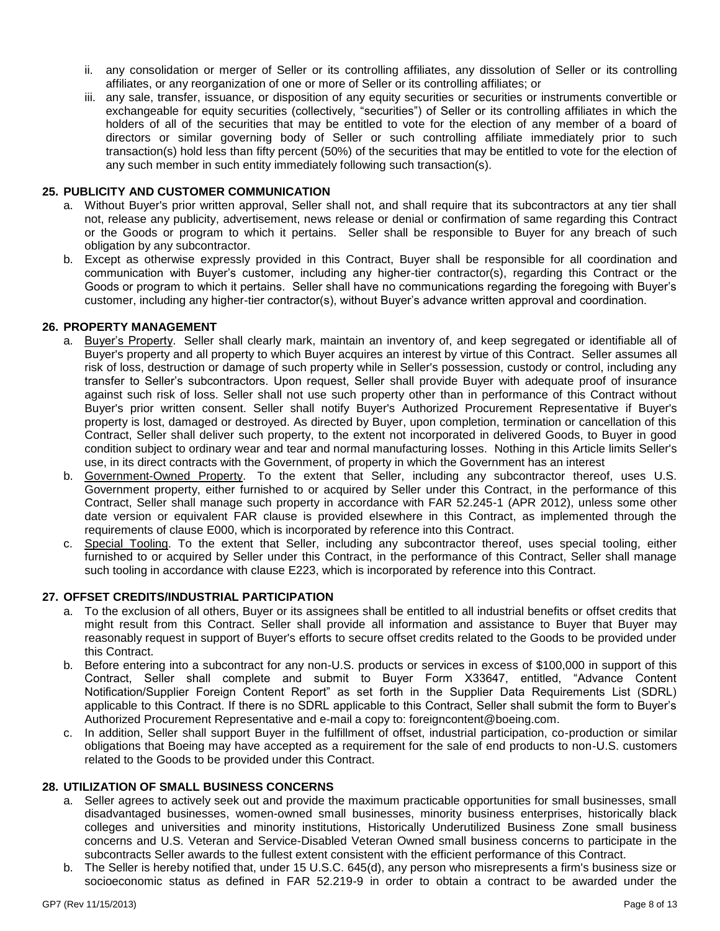- ii. any consolidation or merger of Seller or its controlling affiliates, any dissolution of Seller or its controlling affiliates, or any reorganization of one or more of Seller or its controlling affiliates; or
- iii. any sale, transfer, issuance, or disposition of any equity securities or securities or instruments convertible or exchangeable for equity securities (collectively, "securities") of Seller or its controlling affiliates in which the holders of all of the securities that may be entitled to vote for the election of any member of a board of directors or similar governing body of Seller or such controlling affiliate immediately prior to such transaction(s) hold less than fifty percent (50%) of the securities that may be entitled to vote for the election of any such member in such entity immediately following such transaction(s).

### **25. PUBLICITY AND CUSTOMER COMMUNICATION**

- a. Without Buyer's prior written approval, Seller shall not, and shall require that its subcontractors at any tier shall not, release any publicity, advertisement, news release or denial or confirmation of same regarding this Contract or the Goods or program to which it pertains. Seller shall be responsible to Buyer for any breach of such obligation by any subcontractor.
- b. Except as otherwise expressly provided in this Contract, Buyer shall be responsible for all coordination and communication with Buyer's customer, including any higher-tier contractor(s), regarding this Contract or the Goods or program to which it pertains. Seller shall have no communications regarding the foregoing with Buyer's customer, including any higher-tier contractor(s), without Buyer's advance written approval and coordination.

### **26. PROPERTY MANAGEMENT**

- a. Buyer's Property. Seller shall clearly mark, maintain an inventory of, and keep segregated or identifiable all of Buyer's property and all property to which Buyer acquires an interest by virtue of this Contract. Seller assumes all risk of loss, destruction or damage of such property while in Seller's possession, custody or control, including any transfer to Seller's subcontractors. Upon request, Seller shall provide Buyer with adequate proof of insurance against such risk of loss. Seller shall not use such property other than in performance of this Contract without Buyer's prior written consent. Seller shall notify Buyer's Authorized Procurement Representative if Buyer's property is lost, damaged or destroyed. As directed by Buyer, upon completion, termination or cancellation of this Contract, Seller shall deliver such property, to the extent not incorporated in delivered Goods, to Buyer in good condition subject to ordinary wear and tear and normal manufacturing losses. Nothing in this Article limits Seller's use, in its direct contracts with the Government, of property in which the Government has an interest
- b. Government-Owned Property. To the extent that Seller, including any subcontractor thereof, uses U.S. Government property, either furnished to or acquired by Seller under this Contract, in the performance of this Contract, Seller shall manage such property in accordance with FAR 52.245-1 (APR 2012), unless some other date version or equivalent FAR clause is provided elsewhere in this Contract, as implemented through the requirements of clause E000, which is incorporated by reference into this Contract.
- c. Special Tooling. To the extent that Seller, including any subcontractor thereof, uses special tooling, either furnished to or acquired by Seller under this Contract, in the performance of this Contract, Seller shall manage such tooling in accordance with clause E223, which is incorporated by reference into this Contract.

### **27. OFFSET CREDITS/INDUSTRIAL PARTICIPATION**

- a. To the exclusion of all others, Buyer or its assignees shall be entitled to all industrial benefits or offset credits that might result from this Contract. Seller shall provide all information and assistance to Buyer that Buyer may reasonably request in support of Buyer's efforts to secure offset credits related to the Goods to be provided under this Contract.
- b. Before entering into a subcontract for any non-U.S. products or services in excess of \$100,000 in support of this Contract, Seller shall complete and submit to Buyer Form X33647, entitled, "Advance Content Notification/Supplier Foreign Content Report" as set forth in the Supplier Data Requirements List (SDRL) applicable to this Contract. If there is no SDRL applicable to this Contract, Seller shall submit the form to Buyer's Authorized Procurement Representative and e-mail a copy to: foreigncontent@boeing.com.
- c. In addition, Seller shall support Buyer in the fulfillment of offset, industrial participation, co-production or similar obligations that Boeing may have accepted as a requirement for the sale of end products to non-U.S. customers related to the Goods to be provided under this Contract.

### **28. UTILIZATION OF SMALL BUSINESS CONCERNS**

- a. Seller agrees to actively seek out and provide the maximum practicable opportunities for small businesses, small disadvantaged businesses, women-owned small businesses, minority business enterprises, historically black colleges and universities and minority institutions, Historically Underutilized Business Zone small business concerns and U.S. Veteran and Service-Disabled Veteran Owned small business concerns to participate in the subcontracts Seller awards to the fullest extent consistent with the efficient performance of this Contract.
- b. The Seller is hereby notified that, under 15 U.S.C. 645(d), any person who misrepresents a firm's business size or socioeconomic status as defined in FAR 52.219-9 in order to obtain a contract to be awarded under the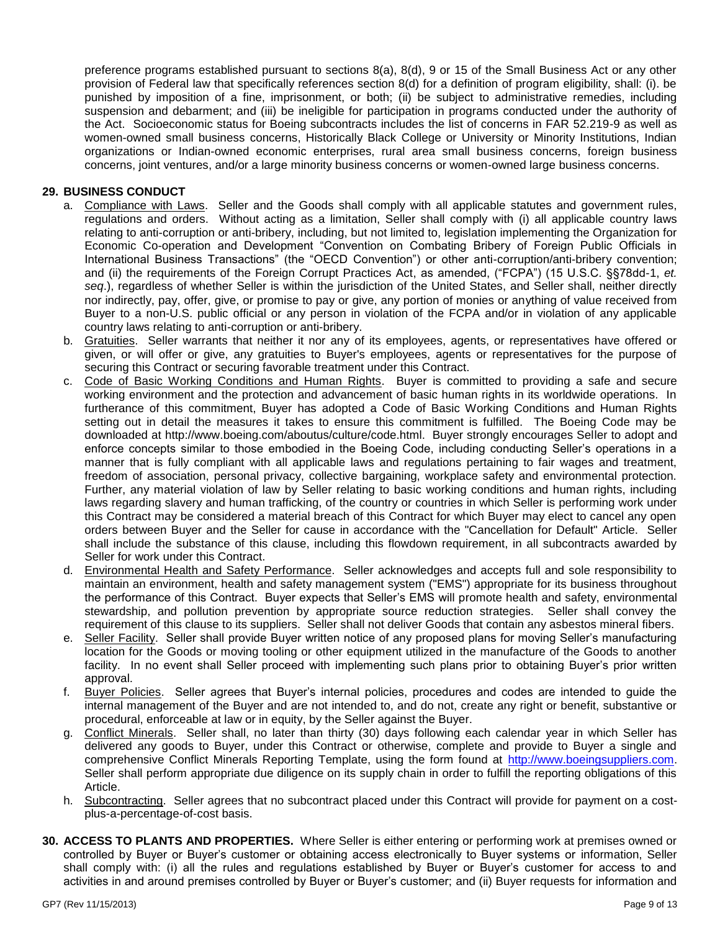preference programs established pursuant to sections 8(a), 8(d), 9 or 15 of the Small Business Act or any other provision of Federal law that specifically references section 8(d) for a definition of program eligibility, shall: (i). be punished by imposition of a fine, imprisonment, or both; (ii) be subject to administrative remedies, including suspension and debarment; and (iii) be ineligible for participation in programs conducted under the authority of the Act. Socioeconomic status for Boeing subcontracts includes the list of concerns in FAR 52.219-9 as well as women-owned small business concerns, Historically Black College or University or Minority Institutions, Indian organizations or Indian-owned economic enterprises, rural area small business concerns, foreign business concerns, joint ventures, and/or a large minority business concerns or women-owned large business concerns.

### **29. BUSINESS CONDUCT**

- a. Compliance with Laws. Seller and the Goods shall comply with all applicable statutes and government rules, regulations and orders. Without acting as a limitation, Seller shall comply with (i) all applicable country laws relating to anti-corruption or anti-bribery, including, but not limited to, legislation implementing the Organization for Economic Co-operation and Development "Convention on Combating Bribery of Foreign Public Officials in International Business Transactions" (the "OECD Convention") or other anti-corruption/anti-bribery convention; and (ii) the requirements of the Foreign Corrupt Practices Act, as amended, ("FCPA") (15 U.S.C. §§78dd-1, *et. seq*.), regardless of whether Seller is within the jurisdiction of the United States, and Seller shall, neither directly nor indirectly, pay, offer, give, or promise to pay or give, any portion of monies or anything of value received from Buyer to a non-U.S. public official or any person in violation of the FCPA and/or in violation of any applicable country laws relating to anti-corruption or anti-bribery.
- b. Gratuities. Seller warrants that neither it nor any of its employees, agents, or representatives have offered or given, or will offer or give, any gratuities to Buyer's employees, agents or representatives for the purpose of securing this Contract or securing favorable treatment under this Contract.
- c. Code of Basic Working Conditions and Human Rights. Buyer is committed to providing a safe and secure working environment and the protection and advancement of basic human rights in its worldwide operations. In furtherance of this commitment, Buyer has adopted a Code of Basic Working Conditions and Human Rights setting out in detail the measures it takes to ensure this commitment is fulfilled. The Boeing Code may be downloaded at http://www.boeing.com/aboutus/culture/code.html. Buyer strongly encourages Seller to adopt and enforce concepts similar to those embodied in the Boeing Code, including conducting Seller's operations in a manner that is fully compliant with all applicable laws and regulations pertaining to fair wages and treatment, freedom of association, personal privacy, collective bargaining, workplace safety and environmental protection. Further, any material violation of law by Seller relating to basic working conditions and human rights, including laws regarding slavery and human trafficking, of the country or countries in which Seller is performing work under this Contract may be considered a material breach of this Contract for which Buyer may elect to cancel any open orders between Buyer and the Seller for cause in accordance with the "Cancellation for Default" Article. Seller shall include the substance of this clause, including this flowdown requirement, in all subcontracts awarded by Seller for work under this Contract.
- d. Environmental Health and Safety Performance. Seller acknowledges and accepts full and sole responsibility to maintain an environment, health and safety management system ("EMS") appropriate for its business throughout the performance of this Contract. Buyer expects that Seller's EMS will promote health and safety, environmental stewardship, and pollution prevention by appropriate source reduction strategies. Seller shall convey the requirement of this clause to its suppliers. Seller shall not deliver Goods that contain any asbestos mineral fibers.
- e. Seller Facility. Seller shall provide Buyer written notice of any proposed plans for moving Seller's manufacturing location for the Goods or moving tooling or other equipment utilized in the manufacture of the Goods to another facility. In no event shall Seller proceed with implementing such plans prior to obtaining Buyer's prior written approval.
- f. Buyer Policies. Seller agrees that Buyer's internal policies, procedures and codes are intended to guide the internal management of the Buyer and are not intended to, and do not, create any right or benefit, substantive or procedural, enforceable at law or in equity, by the Seller against the Buyer.
- g. Conflict Minerals. Seller shall, no later than thirty (30) days following each calendar year in which Seller has delivered any goods to Buyer, under this Contract or otherwise, complete and provide to Buyer a single and comprehensive Conflict Minerals Reporting Template, using the form found at [http://www.boeingsuppliers.com.](http://www.boeingsuppliers.com/) Seller shall perform appropriate due diligence on its supply chain in order to fulfill the reporting obligations of this Article.
- h. Subcontracting. Seller agrees that no subcontract placed under this Contract will provide for payment on a costplus-a-percentage-of-cost basis.
- **30. ACCESS TO PLANTS AND PROPERTIES.** Where Seller is either entering or performing work at premises owned or controlled by Buyer or Buyer's customer or obtaining access electronically to Buyer systems or information, Seller shall comply with: (i) all the rules and regulations established by Buyer or Buyer's customer for access to and activities in and around premises controlled by Buyer or Buyer's customer; and (ii) Buyer requests for information and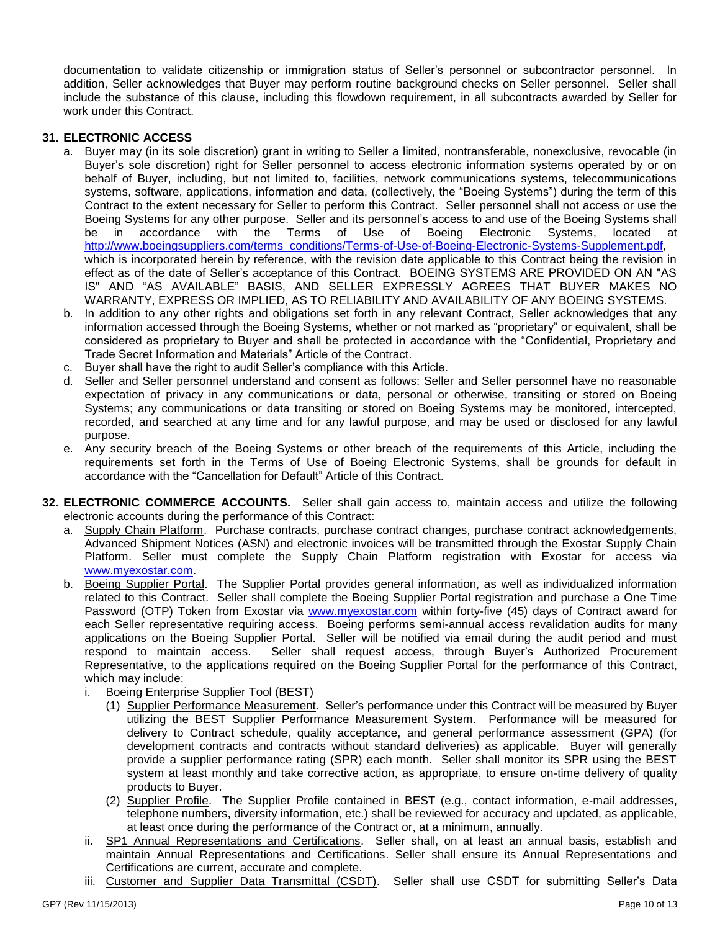documentation to validate citizenship or immigration status of Seller's personnel or subcontractor personnel. In addition, Seller acknowledges that Buyer may perform routine background checks on Seller personnel. Seller shall include the substance of this clause, including this flowdown requirement, in all subcontracts awarded by Seller for work under this Contract.

### **31. ELECTRONIC ACCESS**

- a. Buyer may (in its sole discretion) grant in writing to Seller a limited, nontransferable, nonexclusive, revocable (in Buyer's sole discretion) right for Seller personnel to access electronic information systems operated by or on behalf of Buyer, including, but not limited to, facilities, network communications systems, telecommunications systems, software, applications, information and data, (collectively, the "Boeing Systems") during the term of this Contract to the extent necessary for Seller to perform this Contract. Seller personnel shall not access or use the Boeing Systems for any other purpose. Seller and its personnel's access to and use of the Boeing Systems shall be in accordance with the Terms of Use of Boeing Electronic Systems, located at [http://www.boeingsuppliers.com/terms\\_conditions/Terms-of-Use-of-Boeing-Electronic-Systems-Supplement.pdf,](http://www.boeingsuppliers.com/terms_conditions/Terms-of-Use-of-Boeing-Electronic-Systems-Supplement.pdf) which is incorporated herein by reference, with the revision date applicable to this Contract being the revision in effect as of the date of Seller's acceptance of this Contract. BOEING SYSTEMS ARE PROVIDED ON AN "AS IS" AND "AS AVAILABLE" BASIS, AND SELLER EXPRESSLY AGREES THAT BUYER MAKES NO WARRANTY, EXPRESS OR IMPLIED, AS TO RELIABILITY AND AVAILABILITY OF ANY BOEING SYSTEMS.
- b. In addition to any other rights and obligations set forth in any relevant Contract, Seller acknowledges that any information accessed through the Boeing Systems, whether or not marked as "proprietary" or equivalent, shall be considered as proprietary to Buyer and shall be protected in accordance with the "Confidential, Proprietary and Trade Secret Information and Materials" Article of the Contract.
- c. Buyer shall have the right to audit Seller's compliance with this Article.
- d. Seller and Seller personnel understand and consent as follows: Seller and Seller personnel have no reasonable expectation of privacy in any communications or data, personal or otherwise, transiting or stored on Boeing Systems; any communications or data transiting or stored on Boeing Systems may be monitored, intercepted, recorded, and searched at any time and for any lawful purpose, and may be used or disclosed for any lawful purpose.
- e. Any security breach of the Boeing Systems or other breach of the requirements of this Article, including the requirements set forth in the Terms of Use of Boeing Electronic Systems, shall be grounds for default in accordance with the "Cancellation for Default" Article of this Contract.
- **32. ELECTRONIC COMMERCE ACCOUNTS.** Seller shall gain access to, maintain access and utilize the following electronic accounts during the performance of this Contract:
	- a. Supply Chain Platform. Purchase contracts, purchase contract changes, purchase contract acknowledgements, Advanced Shipment Notices (ASN) and electronic invoices will be transmitted through the Exostar Supply Chain Platform. Seller must complete the Supply Chain Platform registration with Exostar for access via [www.myexostar.com.](http://www.myexostar.com/)
	- b. Boeing Supplier Portal. The Supplier Portal provides general information, as well as individualized information related to this Contract. Seller shall complete the Boeing Supplier Portal registration and purchase a One Time Password (OTP) Token from Exostar via [www.myexostar.com](http://www.myexostar.com/) within forty-five (45) days of Contract award for each Seller representative requiring access. Boeing performs semi-annual access revalidation audits for many applications on the Boeing Supplier Portal. Seller will be notified via email during the audit period and must respond to maintain access. Seller shall request access, through Buyer's Authorized Procurement Representative, to the applications required on the Boeing Supplier Portal for the performance of this Contract, which may include:
		- i. Boeing Enterprise Supplier Tool (BEST)
			- (1) Supplier Performance Measurement. Seller's performance under this Contract will be measured by Buyer utilizing the BEST Supplier Performance Measurement System. Performance will be measured for delivery to Contract schedule, quality acceptance, and general performance assessment (GPA) (for development contracts and contracts without standard deliveries) as applicable. Buyer will generally provide a supplier performance rating (SPR) each month. Seller shall monitor its SPR using the BEST system at least monthly and take corrective action, as appropriate, to ensure on-time delivery of quality products to Buyer.
			- (2) Supplier Profile. The Supplier Profile contained in BEST (e.g., contact information, e-mail addresses, telephone numbers, diversity information, etc.) shall be reviewed for accuracy and updated, as applicable, at least once during the performance of the Contract or, at a minimum, annually.
		- ii. SP1 Annual Representations and Certifications. Seller shall, on at least an annual basis, establish and maintain Annual Representations and Certifications. Seller shall ensure its Annual Representations and Certifications are current, accurate and complete.
		- iii. Customer and Supplier Data Transmittal (CSDT). Seller shall use CSDT for submitting Seller's Data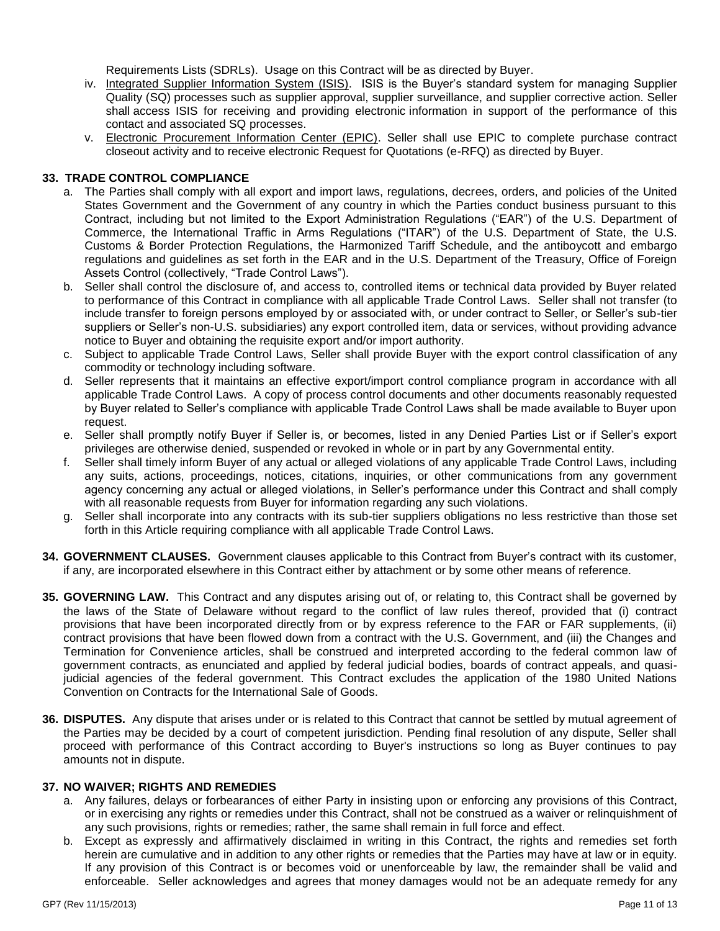Requirements Lists (SDRLs). Usage on this Contract will be as directed by Buyer.

- iv. Integrated Supplier Information System (ISIS). ISIS is the Buyer's standard system for managing Supplier Quality (SQ) processes such as supplier approval, supplier surveillance, and supplier corrective action. Seller shall access ISIS for receiving and providing electronic information in support of the performance of this contact and associated SQ processes.
- v. Electronic Procurement Information Center (EPIC). Seller shall use EPIC to complete purchase contract closeout activity and to receive electronic Request for Quotations (e-RFQ) as directed by Buyer.

### **33. TRADE CONTROL COMPLIANCE**

- a. The Parties shall comply with all export and import laws, regulations, decrees, orders, and policies of the United States Government and the Government of any country in which the Parties conduct business pursuant to this Contract, including but not limited to the Export Administration Regulations ("EAR") of the U.S. Department of Commerce, the International Traffic in Arms Regulations ("ITAR") of the U.S. Department of State, the U.S. Customs & Border Protection Regulations, the Harmonized Tariff Schedule, and the antiboycott and embargo regulations and guidelines as set forth in the EAR and in the U.S. Department of the Treasury, Office of Foreign Assets Control (collectively, "Trade Control Laws").
- b. Seller shall control the disclosure of, and access to, controlled items or technical data provided by Buyer related to performance of this Contract in compliance with all applicable Trade Control Laws. Seller shall not transfer (to include transfer to foreign persons employed by or associated with, or under contract to Seller, or Seller's sub-tier suppliers or Seller's non-U.S. subsidiaries) any export controlled item, data or services, without providing advance notice to Buyer and obtaining the requisite export and/or import authority.
- c. Subject to applicable Trade Control Laws, Seller shall provide Buyer with the export control classification of any commodity or technology including software.
- d. Seller represents that it maintains an effective export/import control compliance program in accordance with all applicable Trade Control Laws. A copy of process control documents and other documents reasonably requested by Buyer related to Seller's compliance with applicable Trade Control Laws shall be made available to Buyer upon request.
- e. Seller shall promptly notify Buyer if Seller is, or becomes, listed in any Denied Parties List or if Seller's export privileges are otherwise denied, suspended or revoked in whole or in part by any Governmental entity.
- f. Seller shall timely inform Buyer of any actual or alleged violations of any applicable Trade Control Laws, including any suits, actions, proceedings, notices, citations, inquiries, or other communications from any government agency concerning any actual or alleged violations, in Seller's performance under this Contract and shall comply with all reasonable requests from Buyer for information regarding any such violations.
- g. Seller shall incorporate into any contracts with its sub-tier suppliers obligations no less restrictive than those set forth in this Article requiring compliance with all applicable Trade Control Laws.
- **34. GOVERNMENT CLAUSES.** Government clauses applicable to this Contract from Buyer's contract with its customer, if any, are incorporated elsewhere in this Contract either by attachment or by some other means of reference.
- **35. GOVERNING LAW.** This Contract and any disputes arising out of, or relating to, this Contract shall be governed by the laws of the State of Delaware without regard to the conflict of law rules thereof, provided that (i) contract provisions that have been incorporated directly from or by express reference to the FAR or FAR supplements, (ii) contract provisions that have been flowed down from a contract with the U.S. Government, and (iii) the Changes and Termination for Convenience articles, shall be construed and interpreted according to the federal common law of government contracts, as enunciated and applied by federal judicial bodies, boards of contract appeals, and quasijudicial agencies of the federal government. This Contract excludes the application of the 1980 United Nations Convention on Contracts for the International Sale of Goods.
- **36. DISPUTES.** Any dispute that arises under or is related to this Contract that cannot be settled by mutual agreement of the Parties may be decided by a court of competent jurisdiction. Pending final resolution of any dispute, Seller shall proceed with performance of this Contract according to Buyer's instructions so long as Buyer continues to pay amounts not in dispute.

#### **37. NO WAIVER; RIGHTS AND REMEDIES**

- a. Any failures, delays or forbearances of either Party in insisting upon or enforcing any provisions of this Contract, or in exercising any rights or remedies under this Contract, shall not be construed as a waiver or relinquishment of any such provisions, rights or remedies; rather, the same shall remain in full force and effect.
- b. Except as expressly and affirmatively disclaimed in writing in this Contract, the rights and remedies set forth herein are cumulative and in addition to any other rights or remedies that the Parties may have at law or in equity. If any provision of this Contract is or becomes void or unenforceable by law, the remainder shall be valid and enforceable. Seller acknowledges and agrees that money damages would not be an adequate remedy for any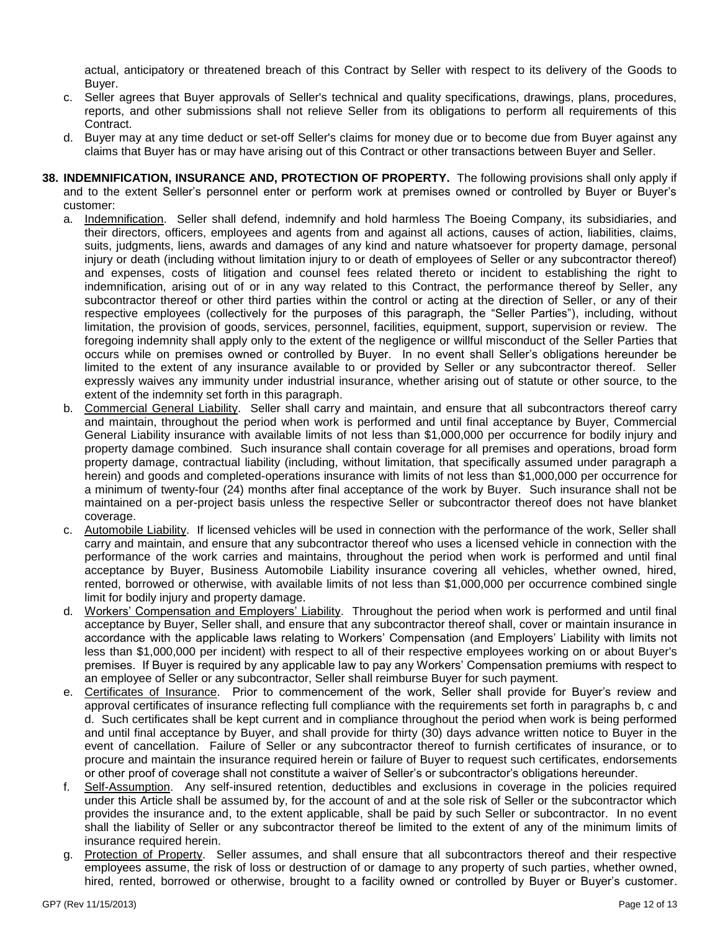actual, anticipatory or threatened breach of this Contract by Seller with respect to its delivery of the Goods to Buyer.

- c. Seller agrees that Buyer approvals of Seller's technical and quality specifications, drawings, plans, procedures, reports, and other submissions shall not relieve Seller from its obligations to perform all requirements of this Contract.
- d. Buyer may at any time deduct or set-off Seller's claims for money due or to become due from Buyer against any claims that Buyer has or may have arising out of this Contract or other transactions between Buyer and Seller.
- **38. INDEMNIFICATION, INSURANCE AND, PROTECTION OF PROPERTY.** The following provisions shall only apply if and to the extent Seller's personnel enter or perform work at premises owned or controlled by Buyer or Buyer's customer:
	- a. Indemnification. Seller shall defend, indemnify and hold harmless The Boeing Company, its subsidiaries, and their directors, officers, employees and agents from and against all actions, causes of action, liabilities, claims, suits, judgments, liens, awards and damages of any kind and nature whatsoever for property damage, personal injury or death (including without limitation injury to or death of employees of Seller or any subcontractor thereof) and expenses, costs of litigation and counsel fees related thereto or incident to establishing the right to indemnification, arising out of or in any way related to this Contract, the performance thereof by Seller, any subcontractor thereof or other third parties within the control or acting at the direction of Seller, or any of their respective employees (collectively for the purposes of this paragraph, the "Seller Parties"), including, without limitation, the provision of goods, services, personnel, facilities, equipment, support, supervision or review. The foregoing indemnity shall apply only to the extent of the negligence or willful misconduct of the Seller Parties that occurs while on premises owned or controlled by Buyer. In no event shall Seller's obligations hereunder be limited to the extent of any insurance available to or provided by Seller or any subcontractor thereof. Seller expressly waives any immunity under industrial insurance, whether arising out of statute or other source, to the extent of the indemnity set forth in this paragraph.
	- b. Commercial General Liability. Seller shall carry and maintain, and ensure that all subcontractors thereof carry and maintain, throughout the period when work is performed and until final acceptance by Buyer, Commercial General Liability insurance with available limits of not less than \$1,000,000 per occurrence for bodily injury and property damage combined. Such insurance shall contain coverage for all premises and operations, broad form property damage, contractual liability (including, without limitation, that specifically assumed under paragraph a herein) and goods and completed-operations insurance with limits of not less than \$1,000,000 per occurrence for a minimum of twenty-four (24) months after final acceptance of the work by Buyer. Such insurance shall not be maintained on a per-project basis unless the respective Seller or subcontractor thereof does not have blanket coverage.
	- c. Automobile Liability. If licensed vehicles will be used in connection with the performance of the work, Seller shall carry and maintain, and ensure that any subcontractor thereof who uses a licensed vehicle in connection with the performance of the work carries and maintains, throughout the period when work is performed and until final acceptance by Buyer, Business Automobile Liability insurance covering all vehicles, whether owned, hired, rented, borrowed or otherwise, with available limits of not less than \$1,000,000 per occurrence combined single limit for bodily injury and property damage.
	- d. Workers' Compensation and Employers' Liability. Throughout the period when work is performed and until final acceptance by Buyer, Seller shall, and ensure that any subcontractor thereof shall, cover or maintain insurance in accordance with the applicable laws relating to Workers' Compensation (and Employers' Liability with limits not less than \$1,000,000 per incident) with respect to all of their respective employees working on or about Buyer's premises. If Buyer is required by any applicable law to pay any Workers' Compensation premiums with respect to an employee of Seller or any subcontractor, Seller shall reimburse Buyer for such payment.
	- e. Certificates of Insurance. Prior to commencement of the work, Seller shall provide for Buyer's review and approval certificates of insurance reflecting full compliance with the requirements set forth in paragraphs b, c and d. Such certificates shall be kept current and in compliance throughout the period when work is being performed and until final acceptance by Buyer, and shall provide for thirty (30) days advance written notice to Buyer in the event of cancellation. Failure of Seller or any subcontractor thereof to furnish certificates of insurance, or to procure and maintain the insurance required herein or failure of Buyer to request such certificates, endorsements or other proof of coverage shall not constitute a waiver of Seller's or subcontractor's obligations hereunder.
	- f. Self-Assumption. Any self-insured retention, deductibles and exclusions in coverage in the policies required under this Article shall be assumed by, for the account of and at the sole risk of Seller or the subcontractor which provides the insurance and, to the extent applicable, shall be paid by such Seller or subcontractor. In no event shall the liability of Seller or any subcontractor thereof be limited to the extent of any of the minimum limits of insurance required herein.
	- g. Protection of Property. Seller assumes, and shall ensure that all subcontractors thereof and their respective employees assume, the risk of loss or destruction of or damage to any property of such parties, whether owned, hired, rented, borrowed or otherwise, brought to a facility owned or controlled by Buyer or Buyer's customer.